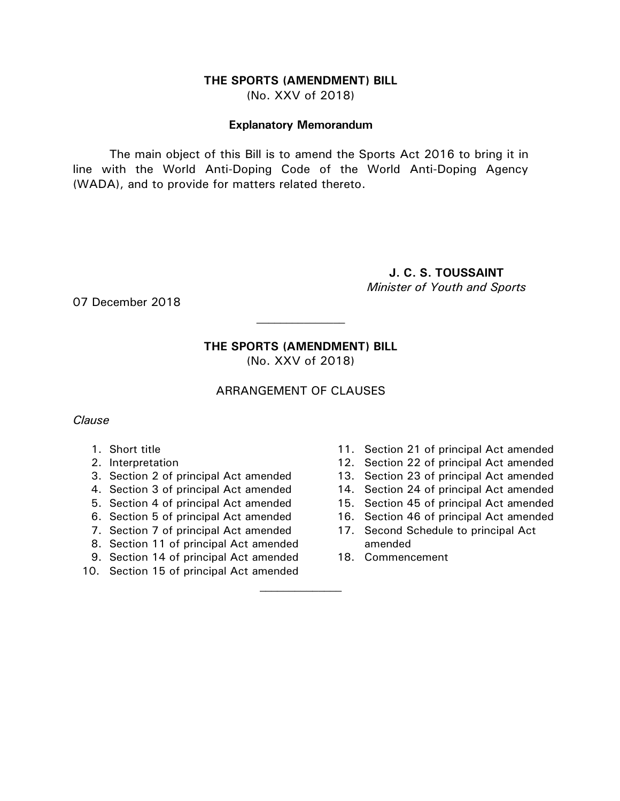#### **THE SPORTS (AMENDMENT) BILL** (No. XXV of 2018)

#### **Explanatory Memorandum**

The main object of this Bill is to amend the Sports Act 2016 to bring it in line with the World Anti-Doping Code of the World Anti-Doping Agency (WADA), and to provide for matters related thereto.

# **J. C. S. TOUSSAINT** *Minister of Youth and Sports*

07 December 2018

# **THE SPORTS (AMENDMENT) BILL**

 $\mathcal{L}_\text{max}$ 

(No. XXV of 2018)

# ARRANGEMENT OF CLAUSES

## *Clause*

- 1. Short title
- 2. Interpretation
- 3. Section 2 of principal Act amended
- 4. Section 3 of principal Act amended
- 5. Section 4 of principal Act amended
- 6. Section 5 of principal Act amended
- 7. Section 7 of principal Act amended
- 8. Section 11 of principal Act amended
- 9. Section 14 of principal Act amended
- 10. Section 15 of principal Act amended
- 11. Section 21 of principal Act amended
- 12. Section 22 of principal Act amended
- 13. Section 23 of principal Act amended
- 14. Section 24 of principal Act amended
- 15. Section 45 of principal Act amended
- 16. Section 46 of principal Act amended
- 17. Second Schedule to principal Act amended
- 18. Commencement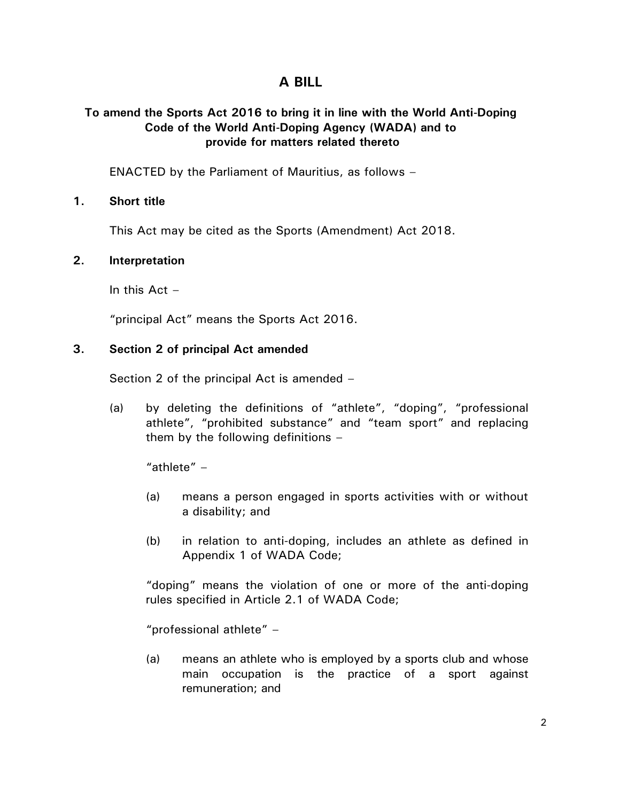# **A BILL**

## **To amend the Sports Act 2016 to bring it in line with the World Anti-Doping Code of the World Anti-Doping Agency (WADA) and to provide for matters related thereto**

ENACTED by the Parliament of Mauritius, as follows –

## **1. Short title**

This Act may be cited as the Sports (Amendment) Act 2018.

## **2. Interpretation**

In this  $Act -$ 

"principal Act" means the Sports Act 2016.

## **3. Section 2 of principal Act amended**

Section 2 of the principal Act is amended –

(a) by deleting the definitions of "athlete", "doping", "professional athlete", "prohibited substance" and "team sport" and replacing them by the following definitions –

"athlete" –

- (a) means a person engaged in sports activities with or without a disability; and
- (b) in relation to anti-doping, includes an athlete as defined in Appendix 1 of WADA Code;

"doping" means the violation of one or more of the anti-doping rules specified in Article 2.1 of WADA Code;

"professional athlete" –

(a) means an athlete who is employed by a sports club and whose main occupation is the practice of a sport against remuneration; and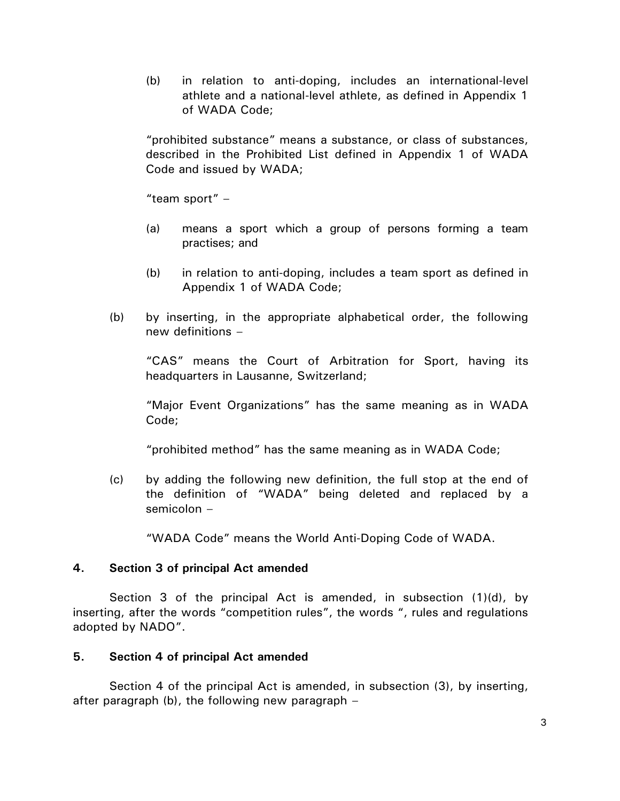(b) in relation to anti-doping, includes an international-level athlete and a national-level athlete, as defined in Appendix 1 of WADA Code;

"prohibited substance" means a substance, or class of substances, described in the Prohibited List defined in Appendix 1 of WADA Code and issued by WADA;

"team sport" –

- (a) means a sport which a group of persons forming a team practises; and
- (b) in relation to anti-doping, includes a team sport as defined in Appendix 1 of WADA Code;
- (b) by inserting, in the appropriate alphabetical order, the following new definitions –

"CAS" means the Court of Arbitration for Sport, having its headquarters in Lausanne, Switzerland;

"Major Event Organizations" has the same meaning as in WADA Code;

"prohibited method" has the same meaning as in WADA Code;

(c) by adding the following new definition, the full stop at the end of the definition of "WADA" being deleted and replaced by a semicolon –

"WADA Code" means the World Anti-Doping Code of WADA.

# **4. Section 3 of principal Act amended**

Section 3 of the principal Act is amended, in subsection (1)(d), by inserting, after the words "competition rules", the words ", rules and regulations adopted by NADO".

# **5. Section 4 of principal Act amended**

Section 4 of the principal Act is amended, in subsection (3), by inserting, after paragraph (b), the following new paragraph –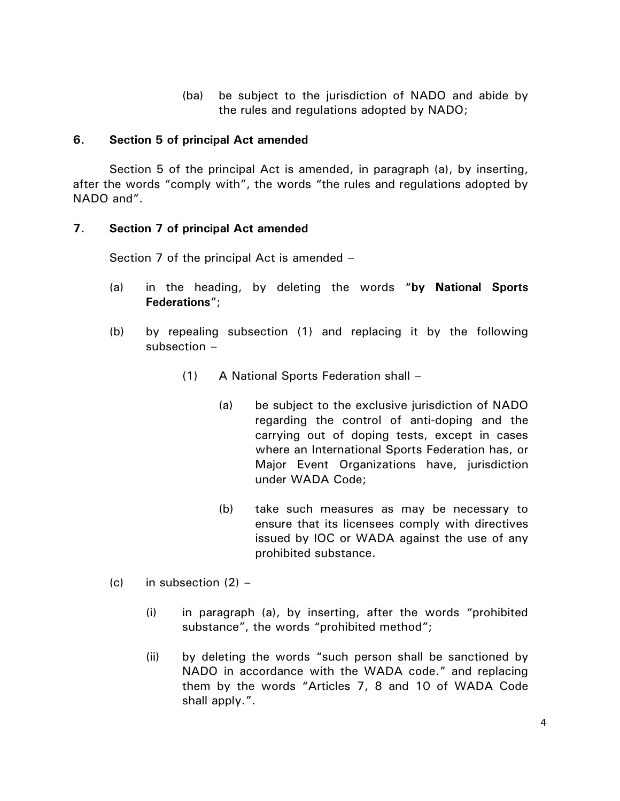(ba) be subject to the jurisdiction of NADO and abide by the rules and regulations adopted by NADO;

## **6. Section 5 of principal Act amended**

Section 5 of the principal Act is amended, in paragraph (a), by inserting, after the words "comply with", the words "the rules and regulations adopted by NADO and".

## **7. Section 7 of principal Act amended**

Section 7 of the principal Act is amended –

- (a) in the heading, by deleting the words "**by National Sports Federations**";
- (b) by repealing subsection (1) and replacing it by the following subsection –
	- (1) A National Sports Federation shall
		- (a) be subject to the exclusive jurisdiction of NADO regarding the control of anti-doping and the carrying out of doping tests, except in cases where an International Sports Federation has, or Major Event Organizations have, jurisdiction under WADA Code;
		- (b) take such measures as may be necessary to ensure that its licensees comply with directives issued by IOC or WADA against the use of any prohibited substance.
- (c) in subsection  $(2)$ 
	- (i) in paragraph (a), by inserting, after the words "prohibited substance", the words "prohibited method";
	- (ii) by deleting the words "such person shall be sanctioned by NADO in accordance with the WADA code." and replacing them by the words "Articles 7, 8 and 10 of WADA Code shall apply.".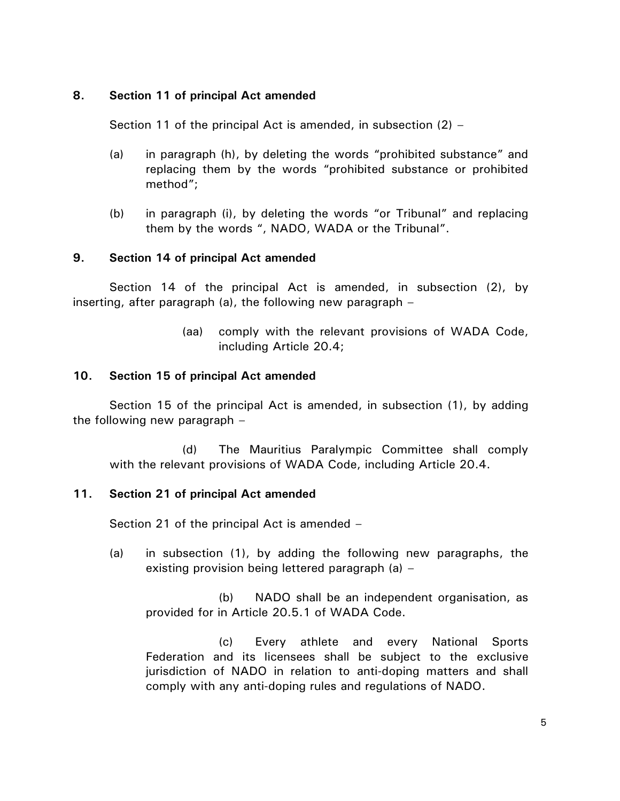## **8. Section 11 of principal Act amended**

Section 11 of the principal Act is amended, in subsection (2) –

- (a) in paragraph (h), by deleting the words "prohibited substance" and replacing them by the words "prohibited substance or prohibited method";
- (b) in paragraph (i), by deleting the words "or Tribunal" and replacing them by the words ", NADO, WADA or the Tribunal".

## **9. Section 14 of principal Act amended**

Section 14 of the principal Act is amended, in subsection (2), by inserting, after paragraph (a), the following new paragraph –

> (aa) comply with the relevant provisions of WADA Code, including Article 20.4;

## **10. Section 15 of principal Act amended**

Section 15 of the principal Act is amended, in subsection (1), by adding the following new paragraph –

(d) The Mauritius Paralympic Committee shall comply with the relevant provisions of WADA Code, including Article 20.4.

## **11. Section 21 of principal Act amended**

Section 21 of the principal Act is amended –

(a) in subsection (1), by adding the following new paragraphs, the existing provision being lettered paragraph (a) –

(b) NADO shall be an independent organisation, as provided for in Article 20.5.1 of WADA Code.

(c) Every athlete and every National Sports Federation and its licensees shall be subject to the exclusive jurisdiction of NADO in relation to anti-doping matters and shall comply with any anti-doping rules and regulations of NADO.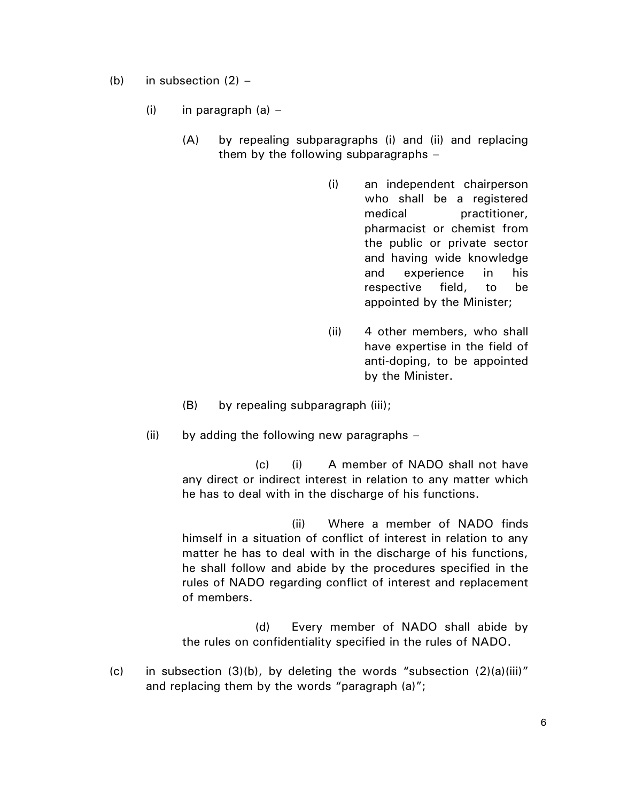- (b) in subsection  $(2)$ 
	- (i) in paragraph  $(a)$ 
		- (A) by repealing subparagraphs (i) and (ii) and replacing them by the following subparagraphs –
			- (i) an independent chairperson who shall be a registered medical practitioner, pharmacist or chemist from the public or private sector and having wide knowledge and experience in his respective field, to be appointed by the Minister;
			- (ii) 4 other members, who shall have expertise in the field of anti-doping, to be appointed by the Minister.
		- (B) by repealing subparagraph (iii);
	- $(ii)$  by adding the following new paragraphs –

(c) (i) A member of NADO shall not have any direct or indirect interest in relation to any matter which he has to deal with in the discharge of his functions.

(ii) Where a member of NADO finds himself in a situation of conflict of interest in relation to any matter he has to deal with in the discharge of his functions, he shall follow and abide by the procedures specified in the rules of NADO regarding conflict of interest and replacement of members.

(d) Every member of NADO shall abide by the rules on confidentiality specified in the rules of NADO.

(c) in subsection  $(3)(b)$ , by deleting the words "subsection  $(2)(a)(iii)$ " and replacing them by the words "paragraph (a)";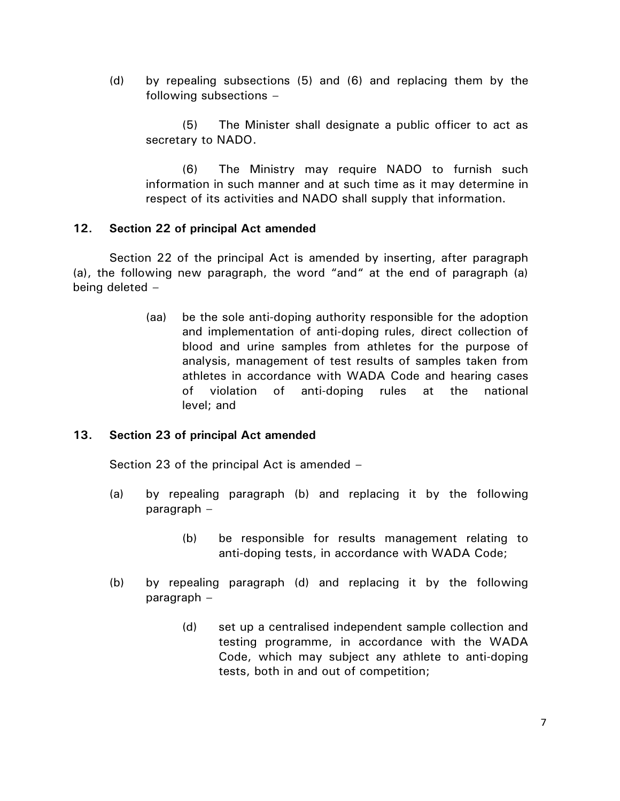(d) by repealing subsections (5) and (6) and replacing them by the following subsections –

(5) The Minister shall designate a public officer to act as secretary to NADO.

(6) The Ministry may require NADO to furnish such information in such manner and at such time as it may determine in respect of its activities and NADO shall supply that information.

## **12. Section 22 of principal Act amended**

Section 22 of the principal Act is amended by inserting, after paragraph (a), the following new paragraph, the word "and" at the end of paragraph (a) being deleted –

> (aa) be the sole anti-doping authority responsible for the adoption and implementation of anti-doping rules, direct collection of blood and urine samples from athletes for the purpose of analysis, management of test results of samples taken from athletes in accordance with WADA Code and hearing cases of violation of anti-doping rules at the national level; and

## **13. Section 23 of principal Act amended**

Section 23 of the principal Act is amended –

- (a) by repealing paragraph (b) and replacing it by the following paragraph –
	- (b) be responsible for results management relating to anti-doping tests, in accordance with WADA Code;
- (b) by repealing paragraph (d) and replacing it by the following paragraph –
	- (d) set up a centralised independent sample collection and testing programme, in accordance with the WADA Code, which may subject any athlete to anti-doping tests, both in and out of competition;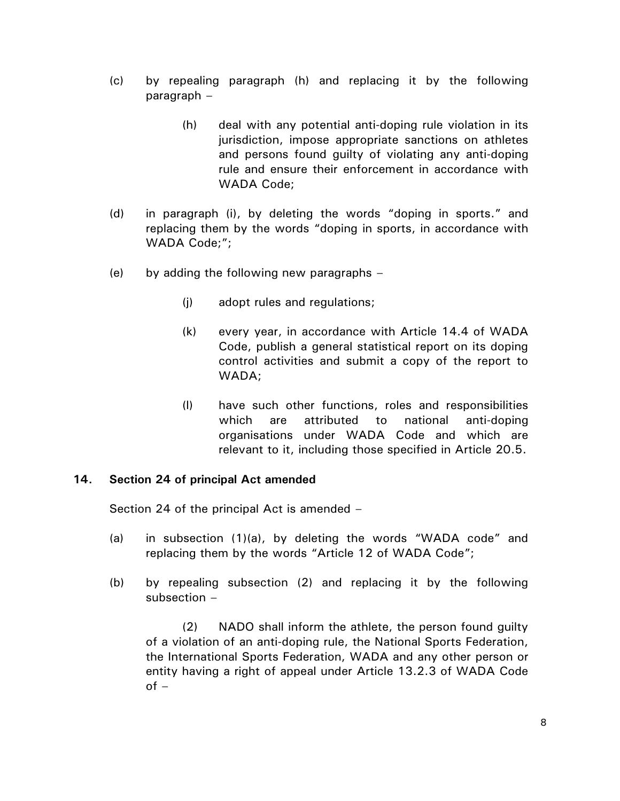- (c) by repealing paragraph (h) and replacing it by the following paragraph –
	- (h) deal with any potential anti-doping rule violation in its jurisdiction, impose appropriate sanctions on athletes and persons found guilty of violating any anti-doping rule and ensure their enforcement in accordance with WADA Code;
- (d) in paragraph (i), by deleting the words "doping in sports." and replacing them by the words "doping in sports, in accordance with WADA Code;";
- (e) by adding the following new paragraphs
	- (j) adopt rules and regulations;
	- (k) every year, in accordance with Article 14.4 of WADA Code, publish a general statistical report on its doping control activities and submit a copy of the report to WADA;
	- (l) have such other functions, roles and responsibilities which are attributed to national anti-doping organisations under WADA Code and which are relevant to it, including those specified in Article 20.5.

## **14. Section 24 of principal Act amended**

Section 24 of the principal Act is amended –

- (a) in subsection (1)(a), by deleting the words "WADA code" and replacing them by the words "Article 12 of WADA Code";
- (b) by repealing subsection (2) and replacing it by the following subsection –

(2) NADO shall inform the athlete, the person found guilty of a violation of an anti-doping rule, the National Sports Federation, the International Sports Federation, WADA and any other person or entity having a right of appeal under Article 13.2.3 of WADA Code  $of -$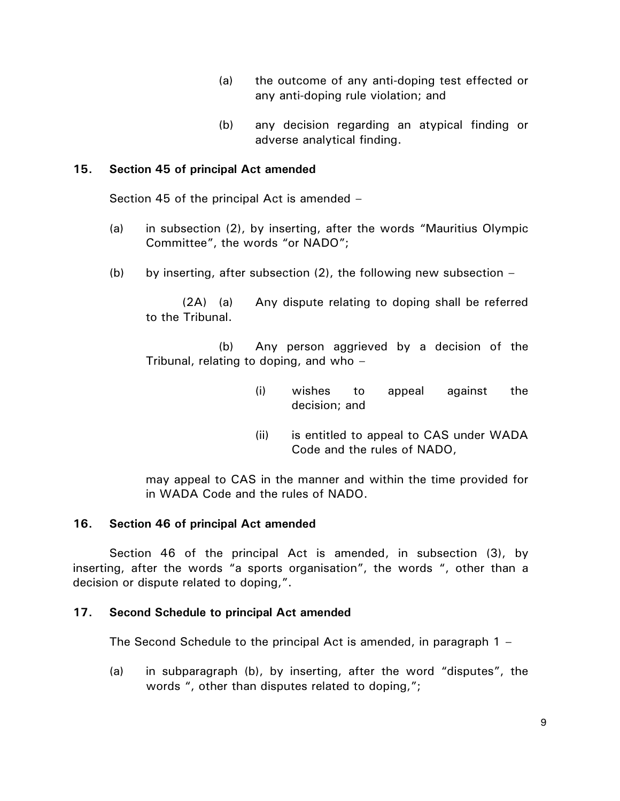- (a) the outcome of any anti-doping test effected or any anti-doping rule violation; and
- (b) any decision regarding an atypical finding or adverse analytical finding.

# **15. Section 45 of principal Act amended**

Section 45 of the principal Act is amended –

- (a) in subsection (2), by inserting, after the words "Mauritius Olympic Committee", the words "or NADO";
- (b) by inserting, after subsection  $(2)$ , the following new subsection –

(2A) (a) Any dispute relating to doping shall be referred to the Tribunal.

(b) Any person aggrieved by a decision of the Tribunal, relating to doping, and who –

- (i) wishes to appeal against the decision; and
- (ii) is entitled to appeal to CAS under WADA Code and the rules of NADO,

may appeal to CAS in the manner and within the time provided for in WADA Code and the rules of NADO.

# **16. Section 46 of principal Act amended**

Section 46 of the principal Act is amended, in subsection (3), by inserting, after the words "a sports organisation", the words ", other than a decision or dispute related to doping,".

# **17. Second Schedule to principal Act amended**

The Second Schedule to the principal Act is amended, in paragraph 1 –

(a) in subparagraph (b), by inserting, after the word "disputes", the words ", other than disputes related to doping,";